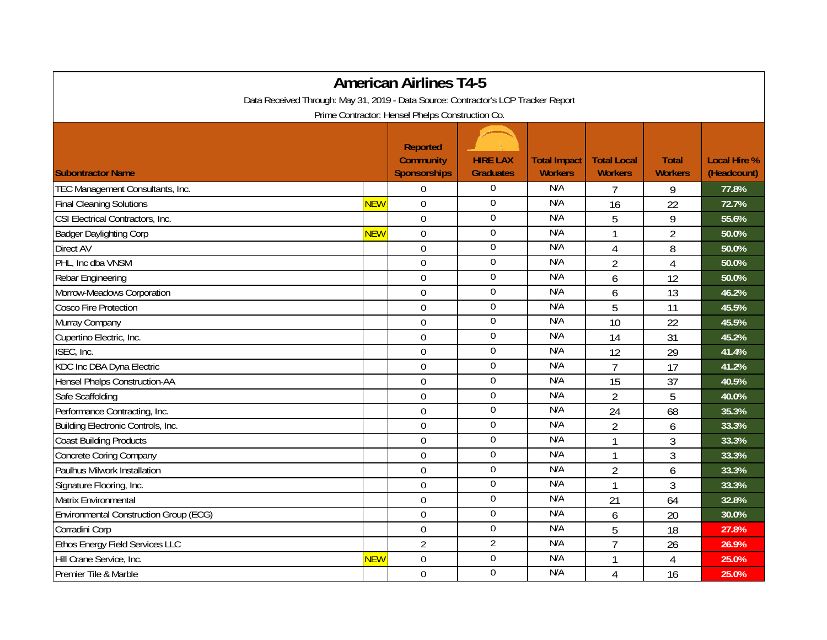| <b>American Airlines T4-5</b>                                                      |            |                                                            |                                     |                                       |                                      |                                |                                    |  |  |  |  |  |
|------------------------------------------------------------------------------------|------------|------------------------------------------------------------|-------------------------------------|---------------------------------------|--------------------------------------|--------------------------------|------------------------------------|--|--|--|--|--|
| Data Received Through: May 31, 2019 - Data Source: Contractor's LCP Tracker Report |            |                                                            |                                     |                                       |                                      |                                |                                    |  |  |  |  |  |
| Prime Contractor: Hensel Phelps Construction Co.                                   |            |                                                            |                                     |                                       |                                      |                                |                                    |  |  |  |  |  |
| <b>Subontractor Name</b>                                                           |            | <b>Reported</b><br><b>Community</b><br><b>Sponsorships</b> | <b>HIRE LAX</b><br><b>Graduates</b> | <b>Total Impact</b><br><b>Workers</b> | <b>Total Local</b><br><b>Workers</b> | <b>Total</b><br><b>Workers</b> | <b>Local Hire %</b><br>(Headcount) |  |  |  |  |  |
| TEC Management Consultants, Inc.                                                   |            | $\Omega$                                                   | 0                                   | N/A                                   | 7                                    | 9                              | 77.8%                              |  |  |  |  |  |
| <b>Final Cleaning Solutions</b>                                                    | <b>NEW</b> | $\mathbf 0$                                                | 0                                   | N/A                                   | 16                                   | 22                             | 72.7%                              |  |  |  |  |  |
| CSI Electrical Contractors, Inc.                                                   |            | $\mathbf 0$                                                | $\boldsymbol{0}$                    | N/A                                   | 5                                    | 9                              | 55.6%                              |  |  |  |  |  |
| <b>Badger Daylighting Corp</b>                                                     | <b>NEW</b> | $\overline{0}$                                             | $\mathbf 0$                         | N/A                                   | 1                                    | $\overline{2}$                 | 50.0%                              |  |  |  |  |  |
| Direct AV                                                                          |            | $\overline{0}$                                             | 0                                   | N/A                                   | 4                                    | 8                              | 50.0%                              |  |  |  |  |  |
| PHL, Inc dba VNSM                                                                  |            | $\boldsymbol{0}$                                           | $\overline{0}$                      | N/A                                   | $\overline{2}$                       | $\overline{4}$                 | 50.0%                              |  |  |  |  |  |
| Rebar Engineering                                                                  |            | $\mathbf 0$                                                | $\boldsymbol{0}$                    | N/A                                   | 6                                    | 12                             | 50.0%                              |  |  |  |  |  |
| Morrow-Meadows Corporation                                                         |            | $\mathbf 0$                                                | $\boldsymbol{0}$                    | N/A                                   | 6                                    | 13                             | 46.2%                              |  |  |  |  |  |
| <b>Cosco Fire Protection</b>                                                       |            | $\overline{0}$                                             | $\boldsymbol{0}$                    | N/A                                   | 5                                    | 11                             | 45.5%                              |  |  |  |  |  |
| Murray Company                                                                     |            | $\overline{0}$                                             | $\overline{0}$                      | N/A                                   | 10                                   | 22                             | 45.5%                              |  |  |  |  |  |
| Cupertino Electric, Inc.                                                           |            | $\mathbf 0$                                                | $\mathbf 0$                         | N/A                                   | 14                                   | 31                             | 45.2%                              |  |  |  |  |  |
| ISEC, Inc.                                                                         |            | $\mathbf 0$                                                | $\boldsymbol{0}$                    | N/A                                   | 12                                   | 29                             | 41.4%                              |  |  |  |  |  |
| KDC Inc DBA Dyna Electric                                                          |            | $\mathbf 0$                                                | $\boldsymbol{0}$                    | N/A                                   | $\overline{7}$                       | 17                             | 41.2%                              |  |  |  |  |  |
| <b>Hensel Phelps Construction-AA</b>                                               |            | $\Omega$                                                   | $\mathbf 0$                         | N/A                                   | 15                                   | 37                             | 40.5%                              |  |  |  |  |  |
| Safe Scaffolding                                                                   |            | $\overline{0}$                                             | 0                                   | N/A                                   | $\overline{2}$                       | 5                              | 40.0%                              |  |  |  |  |  |
| Performance Contracting, Inc.                                                      |            | $\mathbf 0$                                                | 0                                   | N/A                                   | 24                                   | 68                             | 35.3%                              |  |  |  |  |  |
| Building Electronic Controls, Inc.                                                 |            | $\mathbf 0$                                                | 0                                   | N/A                                   | $\overline{2}$                       | 6                              | 33.3%                              |  |  |  |  |  |
| <b>Coast Building Products</b>                                                     |            | $\mathbf 0$                                                | $\boldsymbol{0}$                    | N/A                                   | $\overline{1}$                       | 3                              | 33.3%                              |  |  |  |  |  |
| Concrete Coring Company                                                            |            | $\overline{0}$                                             | $\overline{0}$                      | N/A                                   |                                      | 3                              | 33.3%                              |  |  |  |  |  |
| Paulhus Milwork Installation                                                       |            | $\mathbf 0$                                                | $\boldsymbol{0}$                    | N/A                                   | $\overline{2}$                       | 6                              | 33.3%                              |  |  |  |  |  |
| Signature Flooring, Inc.                                                           |            | $\mathbf 0$                                                | $\overline{0}$                      | N/A                                   | $\overline{1}$                       | 3                              | 33.3%                              |  |  |  |  |  |
| Matrix Environmental                                                               |            | $\mathbf 0$                                                | $\boldsymbol{0}$                    | N/A                                   | 21                                   | 64                             | 32.8%                              |  |  |  |  |  |
| Environmental Construction Group (ECG)                                             |            | $\Omega$                                                   | $\mathbf 0$                         | N/A                                   | 6                                    | 20                             | 30.0%                              |  |  |  |  |  |
| Corradini Corp                                                                     |            | $\overline{0}$                                             | $\overline{0}$                      | N/A                                   | 5                                    | 18                             | 27.8%                              |  |  |  |  |  |
| Ethos Energy Field Services LLC                                                    |            | $\overline{2}$                                             | $\overline{2}$                      | N/A                                   | $\overline{7}$                       | 26                             | 26.9%                              |  |  |  |  |  |
| Hill Crane Service, Inc.                                                           | <b>NEW</b> | $\mathbf 0$                                                | $\boldsymbol{0}$                    | N/A                                   |                                      | 4                              | 25.0%                              |  |  |  |  |  |
| Premier Tile & Marble                                                              |            | $\mathbf 0$                                                | $\mathbf 0$                         | N/A                                   | 4                                    | 16                             | 25.0%                              |  |  |  |  |  |